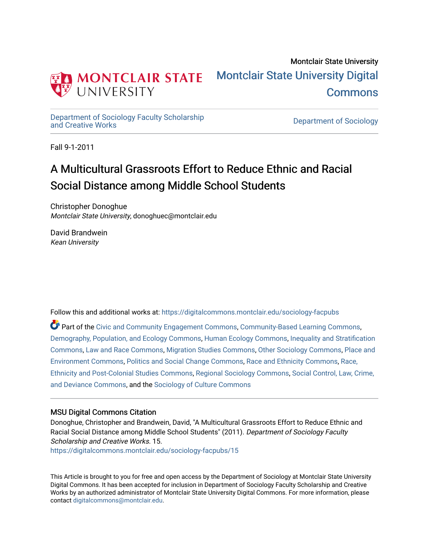

[Department of Sociology Faculty Scholarship](https://digitalcommons.montclair.edu/sociology-facpubs)

Department of Sociology

Fall 9-1-2011

# A Multicultural Grassroots Effort to Reduce Ethnic and Racial Social Distance among Middle School Students

Christopher Donoghue Montclair State University, donoghuec@montclair.edu

David Brandwein Kean University

Follow this and additional works at: [https://digitalcommons.montclair.edu/sociology-facpubs](https://digitalcommons.montclair.edu/sociology-facpubs?utm_source=digitalcommons.montclair.edu%2Fsociology-facpubs%2F15&utm_medium=PDF&utm_campaign=PDFCoverPages)

Part of the [Civic and Community Engagement Commons](http://network.bepress.com/hgg/discipline/1028?utm_source=digitalcommons.montclair.edu%2Fsociology-facpubs%2F15&utm_medium=PDF&utm_campaign=PDFCoverPages), [Community-Based Learning Commons](http://network.bepress.com/hgg/discipline/1046?utm_source=digitalcommons.montclair.edu%2Fsociology-facpubs%2F15&utm_medium=PDF&utm_campaign=PDFCoverPages), [Demography, Population, and Ecology Commons](http://network.bepress.com/hgg/discipline/418?utm_source=digitalcommons.montclair.edu%2Fsociology-facpubs%2F15&utm_medium=PDF&utm_campaign=PDFCoverPages), [Human Ecology Commons](http://network.bepress.com/hgg/discipline/1335?utm_source=digitalcommons.montclair.edu%2Fsociology-facpubs%2F15&utm_medium=PDF&utm_campaign=PDFCoverPages), [Inequality and Stratification](http://network.bepress.com/hgg/discipline/421?utm_source=digitalcommons.montclair.edu%2Fsociology-facpubs%2F15&utm_medium=PDF&utm_campaign=PDFCoverPages)  [Commons](http://network.bepress.com/hgg/discipline/421?utm_source=digitalcommons.montclair.edu%2Fsociology-facpubs%2F15&utm_medium=PDF&utm_campaign=PDFCoverPages), [Law and Race Commons](http://network.bepress.com/hgg/discipline/1300?utm_source=digitalcommons.montclair.edu%2Fsociology-facpubs%2F15&utm_medium=PDF&utm_campaign=PDFCoverPages), [Migration Studies Commons](http://network.bepress.com/hgg/discipline/1394?utm_source=digitalcommons.montclair.edu%2Fsociology-facpubs%2F15&utm_medium=PDF&utm_campaign=PDFCoverPages), [Other Sociology Commons,](http://network.bepress.com/hgg/discipline/434?utm_source=digitalcommons.montclair.edu%2Fsociology-facpubs%2F15&utm_medium=PDF&utm_campaign=PDFCoverPages) [Place and](http://network.bepress.com/hgg/discipline/424?utm_source=digitalcommons.montclair.edu%2Fsociology-facpubs%2F15&utm_medium=PDF&utm_campaign=PDFCoverPages)  [Environment Commons](http://network.bepress.com/hgg/discipline/424?utm_source=digitalcommons.montclair.edu%2Fsociology-facpubs%2F15&utm_medium=PDF&utm_campaign=PDFCoverPages), [Politics and Social Change Commons](http://network.bepress.com/hgg/discipline/425?utm_source=digitalcommons.montclair.edu%2Fsociology-facpubs%2F15&utm_medium=PDF&utm_campaign=PDFCoverPages), [Race and Ethnicity Commons](http://network.bepress.com/hgg/discipline/426?utm_source=digitalcommons.montclair.edu%2Fsociology-facpubs%2F15&utm_medium=PDF&utm_campaign=PDFCoverPages), [Race,](http://network.bepress.com/hgg/discipline/566?utm_source=digitalcommons.montclair.edu%2Fsociology-facpubs%2F15&utm_medium=PDF&utm_campaign=PDFCoverPages)  [Ethnicity and Post-Colonial Studies Commons](http://network.bepress.com/hgg/discipline/566?utm_source=digitalcommons.montclair.edu%2Fsociology-facpubs%2F15&utm_medium=PDF&utm_campaign=PDFCoverPages), [Regional Sociology Commons,](http://network.bepress.com/hgg/discipline/427?utm_source=digitalcommons.montclair.edu%2Fsociology-facpubs%2F15&utm_medium=PDF&utm_campaign=PDFCoverPages) [Social Control, Law, Crime,](http://network.bepress.com/hgg/discipline/429?utm_source=digitalcommons.montclair.edu%2Fsociology-facpubs%2F15&utm_medium=PDF&utm_campaign=PDFCoverPages) [and Deviance Commons](http://network.bepress.com/hgg/discipline/429?utm_source=digitalcommons.montclair.edu%2Fsociology-facpubs%2F15&utm_medium=PDF&utm_campaign=PDFCoverPages), and the [Sociology of Culture Commons](http://network.bepress.com/hgg/discipline/431?utm_source=digitalcommons.montclair.edu%2Fsociology-facpubs%2F15&utm_medium=PDF&utm_campaign=PDFCoverPages)

# MSU Digital Commons Citation

Donoghue, Christopher and Brandwein, David, "A Multicultural Grassroots Effort to Reduce Ethnic and Racial Social Distance among Middle School Students" (2011). Department of Sociology Faculty Scholarship and Creative Works. 15. [https://digitalcommons.montclair.edu/sociology-facpubs/15](https://digitalcommons.montclair.edu/sociology-facpubs/15?utm_source=digitalcommons.montclair.edu%2Fsociology-facpubs%2F15&utm_medium=PDF&utm_campaign=PDFCoverPages) 

This Article is brought to you for free and open access by the Department of Sociology at Montclair State University Digital Commons. It has been accepted for inclusion in Department of Sociology Faculty Scholarship and Creative Works by an authorized administrator of Montclair State University Digital Commons. For more information, please contact [digitalcommons@montclair.edu](mailto:digitalcommons@montclair.edu).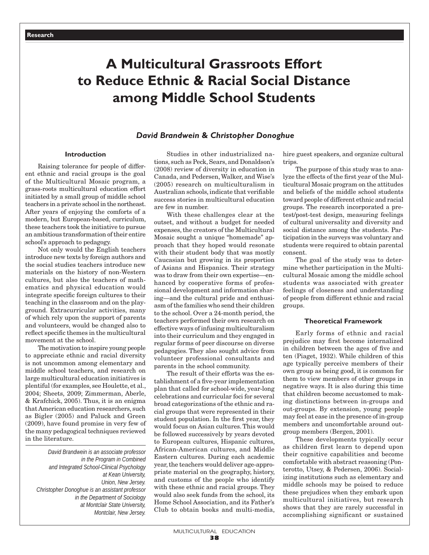# **A Multicultural Grassroots Effort to Reduce Ethnic & Racial Social Distance among Middle School Students**

## *David Brandwein* **&** *Christopher Donoghue*

## **Introduction**

Raising tolerance for people of different ethnic and racial groups is the goal of the Multicultural Mosaic program, a grass-roots multicultural education effort initiated by a small group of middle school teachers in a private school in the northeast. After years of enjoying the comforts of a modern, but European-based, curriculum, these teachers took the initiative to pursue an ambitious transformation of their entire school's approach to pedagogy.

Not only would the English teachers introduce new texts by foreign authors and the social studies teachers introduce new materials on the history of non-Western cultures, but also the teachers of mathematics and physical education would integrate specific foreign cultures to their teaching in the classroom and on the playground. Extracurricular activities, many of which rely upon the support of parents and volunteers, would be changed also to reflect specific themes in the multicultural movement at the school.

The motivation to inspire young people to appreciate ethnic and racial diversity is not uncommon among elementary and middle school teachers, and research on large multicultural education initiatives is plentiful (for examples, see Houlette, et al., 2004; Sheets, 2009; Zimmerman, Aberle, & Krafchick, 2005). Thus, it is an enigma that American education researchers, such as Bigler (2005) and Paluck and Green (2009), have found promise in very few of the many pedagogical techniques reviewed in the literature.

*David Brandwein is an associate professor in the Program in Combined and Integrated School-Clinical Psychology at Kean University, Union, New Jersey. Christopher Donoghue is an assistant professor in the Department of Sociology at Montclair State University, Montclair, New Jersey.*

Studies in other industrialized nations, such as Peck, Sears, and Donaldson's (2008) review of diversity in education in Canada, and Pedersen, Walker, and Wise's (2005) research on multiculturalism in Australian schools, indicate that verifiable success stories in multicultural education are few in number.

With these challenges clear at the outset, and without a budget for needed expenses, the creators of the Multicultural Mosaic sought a unique "homemade" approach that they hoped would resonate with their student body that was mostly Caucasian but growing in its proportion of Asians and Hispanics. Their strategy was to draw from their own expertise—enhanced by cooperative forms of professional development and information sharing—and the cultural pride and enthusiasm of the families who send their children to the school. Over a 24-month period, the teachers performed their own research on effective ways of infusing multiculturalism into their curriculum and they engaged in regular forms of peer discourse on diverse pedagogies. They also sought advice from volunteer professional consultants and parents in the school community.

The result of their efforts was the establishment of a five-year implementation plan that called for school-wide, year-long celebrations and curricular foci for several broad categorizations of the ethnic and racial groups that were represented in their student population. In the first year, they would focus on Asian cultures. This would be followed successively by years devoted to European cultures, Hispanic cultures, African-American cultures, and Middle Eastern cultures. During each academic year, the teachers would deliver age-appropriate material on the geography, history, and customs of the people who identify with these ethnic and racial groups. They would also seek funds from the school, its Home School Association, and its Father's Club to obtain books and multi-media, hire guest speakers, and organize cultural trips.

The purpose of this study was to analyze the effects of the first year of the Multicultural Mosaic program on the attitudes and beliefs of the middle school students toward people of different ethnic and racial groups. The research incorporated a pretest/post-test design, measuring feelings of cultural universality and diversity and social distance among the students. Participation in the surveys was voluntary and students were required to obtain parental consent.

The goal of the study was to determine whether participation in the Multicultural Mosaic among the middle school students was associated with greater feelings of closeness and understanding of people from different ethnic and racial groups.

#### **Theoretical Framework**

Early forms of ethnic and racial prejudice may first become internalized in children between the ages of five and ten (Piaget, 1932). While children of this age typically perceive members of their own group as being good, it is common for them to view members of other groups in negative ways. It is also during this time that children become accustomed to making distinctions between in-groups and out-groups. By extension, young people may feel at ease in the presence of in-group members and uncomfortable around outgroup members (Bergen, 2001).

These developments typically occur as children first learn to depend upon their cognitive capabilities and become comfortable with abstract reasoning (Ponterotto, Utsey, & Pedersen, 2006). Socializing institutions such as elementary and middle schools may be poised to reduce these prejudices when they embark upon multicultural initiatives, but research shows that they are rarely successful in accomplishing significant or sustained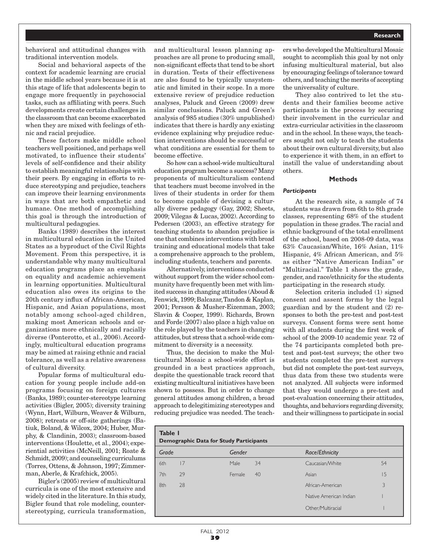behavioral and attitudinal changes with traditional intervention models.

Social and behavioral aspects of the context for academic learning are crucial in the middle school years because it is at this stage of life that adolescents begin to engage more frequently in psychosocial tasks, such as affiliating with peers. Such developments create certain challenges in the classroom that can become exacerbated when they are mixed with feelings of ethnic and racial prejudice.

These factors make middle school teachers well positioned, and perhaps well motivated, to influence their students' levels of self-confidence and their ability to establish meaningful relationships with their peers. By engaging in efforts to reduce stereotyping and prejudice, teachers can improve their learning environments in ways that are both empathetic and humane. One method of accomplishing this goal is through the introduction of multicultural pedagogies.

Banks (1989) describes the interest in multicultural education in the United States as a byproduct of the Civil Rights Movement. From this perspective, it is understandable why many multicultural education programs place an emphasis on equality and academic achievement in learning opportunities. Multicultural education also owes its origins to the 20th century influx of African-American, Hispanic, and Asian populations, most notably among school-aged children, making most American schools and organizations more ethnically and racially diverse (Ponterotto, et al., 2006). Accordingly, multicultural education programs may be aimed at raising ethnic and racial tolerance, as well as a relative awareness of cultural diversity.

Popular forms of multicultural education for young people include add-on programs focusing on foreign cultures (Banks, 1989); counter-stereotype learning activities (Bigler, 2005); diversity training (Wynn, Hart, Wilburn, Weaver & Wilburn, 2008); retreats or off-site gatherings (Batiuk, Boland, & Wilcox, 2004; Huber, Murphy, & Clandinin, 2003); classroom-based interventions (Houlette, et al., 2004); experiential activities (McNeill, 2001; Roate & Schmidt, 2009); and counseling curriculums (Torres, Ottens, & Johnson, 1997; Zimmerman, Aberle, & Krafchick, 2005).

Bigler's (2005) review of multicultural curricula is one of the most extensive and widely cited in the literature. In this study, Bigler found that role modeling, counterstereotyping, curricula transformation, and multicultural lesson planning approaches are all prone to producing small, non-significant effects that tend to be short in duration. Tests of their effectiveness are also found to be typically unsystematic and limited in their scope. In a more extensive review of prejudice reduction analyses, Paluck and Green (2009) drew similar conclusions. Paluck and Green's analysis of 985 studies (30% unpublished) indicates that there is hardly any existing evidence explaining why prejudice reduction interventions should be successful or what conditions are essential for them to become effective.

So how can a school-wide multicultural education program become a success? Many proponents of multiculturalism contend that teachers must become involved in the lives of their students in order for them to become capable of devising a culturally diverse pedagogy (Gay, 2002; Sheets, 2009; Vilegas & Lucas, 2002). According to Pedersen (2003), an effective strategy for teaching students to abandon prejudice is one that combines interventions with broad training and educational models that take a comprehensive approach to the problem, including students, teachers and parents.

Alternatively, interventions conducted without support from the wider school community have frequently been met with limited success in changing attitudes (Aboud & Fenwick, 1999; Balcazar, Tandon & Kaplan, 2001; Persson & Musher-Eizenman, 2003; Slavin & Cooper, 1999). Richards, Brown and Forde (2007) also place a high value on the role played by the teachers in changing attitudes, but stress that a school-wide commitment to diversity is a necessity.

Thus, the decision to make the Multicultural Mosaic a school-wide effort is grounded in a best practices approach, despite the questionable track record that existing multicultural initiatives have been shown to possess. But in order to change general attitudes among children, a broad approach to delegitimizing stereotypes and reducing prejudice was needed. The teachers who developed the Multicultural Mosaic sought to accomplish this goal by not only infusing multicultural material, but also by encouraging feelings of tolerance toward others, and teaching the merits of accepting the universality of culture.

They also contrived to let the students and their families become active participants in the process by securing their involvement in the curricular and extra-curricular activities in the classroom and in the school. In these ways, the teachers sought not only to teach the students about their own cultural diversity, but also to experience it with them, in an effort to instill the value of understanding about others.

#### **Methods**

#### *Participants*

At the research site, a sample of 74 students was drawn from 6th to 8th grade classes, representing 68% of the student population in these grades. The racial and ethnic background of the total enrollment of the school, based on 2008-09 data, was 63% Caucasian/White, 16% Asian, 11% Hispanic, 4% African American, and 5% as either "Native American Indian" or "Multiracial." Table 1 shows the grade, gender, and race/ethnicity for the students participating in the research study.

Selection criteria included (1) signed consent and assent forms by the legal guardian and by the student and (2) responses to both the pre-test and post-test surveys. Consent forms were sent home with all students during the first week of school of the 2009-10 academic year. 72 of the 74 participants completed both pretest and post-test surveys; the other two students completed the pre-test surveys but did not complete the post-test surveys, thus data from these two students were not analyzed. All subjects were informed that they would undergo a pre-test and post-evaluation concerning their attitudes, thoughts, and behaviors regarding diversity, and their willingness to participate in social

| Table I<br><b>Demographic Data for Study Participants</b> |    |             |    |                        |    |  |  |  |  |
|-----------------------------------------------------------|----|-------------|----|------------------------|----|--|--|--|--|
| Grade                                                     |    | Gender      |    | Race/Ethnicity         |    |  |  |  |  |
| 6th                                                       | 17 | <b>Male</b> | 34 | Caucasian/White        | 54 |  |  |  |  |
| 7th                                                       | 29 | Female      | 40 | Asian                  | 15 |  |  |  |  |
| 8th                                                       | 28 |             |    | African-American       | 3  |  |  |  |  |
|                                                           |    |             |    | Native American Indian |    |  |  |  |  |
|                                                           |    |             |    | Other/Multiracial      |    |  |  |  |  |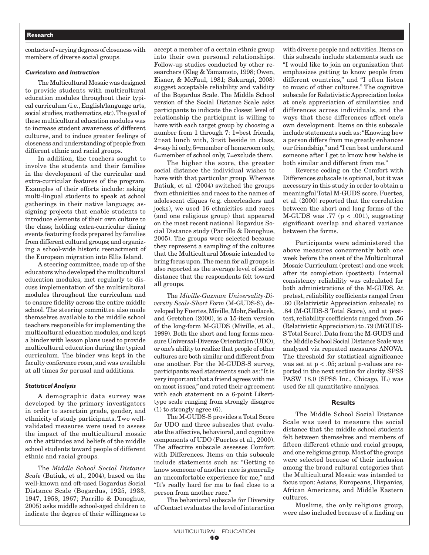## **Research**

contacts of varying degrees of closeness with members of diverse social groups.

#### *Curriculum and Instruction*

The Multicultural Mosaic was designed to provide students with multicultural education modules throughout their typical curriculum (i.e., English/language arts, social studies, mathematics, etc). The goal of these multicultural education modules was to increase student awareness of different cultures, and to induce greater feelings of closeness and understanding of people from different ethnic and racial groups.

In addition, the teachers sought to involve the students and their families in the development of the curricular and extra-curricular features of the program. Examples of their efforts include: asking multi-lingual students to speak at school gatherings in their native language; assigning projects that enable students to introduce elements of their own culture to the class; holding extra-curricular dining events featuring foods prepared by families from different cultural groups; and organizing a school-wide historic reenactment of the European migration into Ellis Island.

A steering committee, made up of the educators who developed the multicultural education modules, met regularly to discuss implementation of the multicultural modules throughout the curriculum and to ensure fidelity across the entire middle school. The steering committee also made themselves available to the middle school teachers responsible for implementing the multicultural education modules, and kept a binder with lesson plans used to provide multicultural education during the typical curriculum. The binder was kept in the faculty conference room, and was available at all times for perusal and additions.

#### *Statistical Analysis*

A demographic data survey was developed by the primary investigators in order to ascertain grade, gender, and ethnicity of study participants. Two wellvalidated measures were used to assess the impact of the multicultural mosaic on the attitudes and beliefs of the middle school students toward people of different ethnic and racial groups.

The *Middle School Social Distance Scale* (Batiuk, et al., 2004), based on the well-known and oft-used Bogardus Social Distance Scale (Bogardus, 1925, 1933, 1947, 1958, 1967; Parrillo & Donoghue, 2005) asks middle school-aged children to indicate the degree of their willingness to accept a member of a certain ethnic group into their own personal relationships. Follow-up studies conducted by other researchers (Kleg & Yamamoto, 1998; Owen, Eisner, & McFaul, 1981; Sakuragi, 2008) suggest acceptable reliability and validity of the Bogardus Scale. The Middle School version of the Social Distance Scale asks participants to indicate the closest level of relationship the participant is willing to have with each target group by choosing a number from 1 through 7: 1=best friends, 2=eat lunch with, 3=sit beside in class, 4=say hi only, 5=member of homeroom only, 6=member of school only, 7=exclude them.

The higher the score, the greater social distance the individual wishes to have with that particular group. Whereas Batiuk, et al. (2004) switched the groups from ethnicities and races to the names of adolescent cliques (e.g. cheerleaders and jocks), we used 16 ethnicities and races (and one religious group) that appeared on the most recent national Bogardus Social Distance study (Parrillo & Donoghue, 2005). The groups were selected because they represent a sampling of the cultures that the Multicultural Mosaic intended to bring focus upon. The mean for all groups is also reported as the average level of social distance that the respondents felt toward all groups.

The *Miville-Guzman Universality-Diversity Scale-Short Form* (M-GUDS-S), developed by Fuertes, Miville, Mohr, Sedlacek, and Gretchen (2000), is a 15-item version of the long-form M-GUDS (Miville, et al., 1999). Both the short and long forms measure Universal-Diverse Orientation (UDO), or one's ability to realize that people of other cultures are both similar and different from one another. For the M-GUDS-S survey, participants read statements such as: "It is very important that a friend agrees with me on most issues," and rated their agreement with each statement on a 6-point Likerttype scale ranging from strongly disagree (1) to strongly agree (6).

The M-GUDS-S provides a Total Score for UDO and three subscales that evaluate the affective, behavioral, and cognitive components of UDO (Fuertes et al., 2000). The affective subscale assesses Comfort with Differences. Items on this subscale include statements such as: "Getting to know someone of another race is generally an uncomfortable experience for me," and "It's really hard for me to feel close to a person from another race."

The behavioral subscale for Diversity of Contact evaluates the level of interaction with diverse people and activities. Items on this subscale include statements such as: "I would like to join an organization that emphasizes getting to know people from different countries," and "I often listen to music of other cultures." The cognitive subscale for Relativistic Appreciation looks at one's appreciation of similarities and differences across individuals, and the ways that these differences affect one's own development. Items on this subscale include statements such as: "Knowing how a person differs from me greatly enhances our friendship," and "I can best understand someone after I get to know how he/she is both similar and different from me."

Reverse coding on the Comfort with Differences subscale is optional, but it was necessary in this study in order to obtain a meaningful Total M-GUDS score. Fuertes, et al. (2000) reported that the correlation between the short and long forms of the M-GUDS was .77 ( $p < .001$ ), suggesting significant overlap and shared variance between the forms.

Participants were administered the above measures concurrently both one week before the onset of the Multicultural Mosaic Curriculum (pretest) and one week after its completion (posttest). Internal consistency reliability was calculated for both administrations of the M-GUDS. At pretest, reliability coefficients ranged from .60 (Relativistic Appreciation subscale) to .84 (M-GUDS-S Total Score), and at posttest, reliability coefficients ranged from .56 (Relativistic Appreciation) to .79 (MGUDS-S Total Score). Data from the M-GUDS and the Middle School Social Distance Scale was analyzed via repeated measures ANOVA. The threshold for statistical significance was set at p < .05; actual p-values are reported in the next section for clarity. SPSS PASW 18.0 (SPSS Inc., Chicago, IL) was used for all quantitative analyses.

#### **Results**

The Middle School Social Distance Scale was used to measure the social distance that the middle school students felt between themselves and members of fifteen different ethnic and racial groups, and one religious group. Most of the groups were selected because of their inclusion among the broad cultural categories that the Multicultural Mosaic was intended to focus upon: Asians, Europeans, Hispanics, African Americans, and Middle Eastern cultures.

Muslims, the only religious group, were also included because of a finding on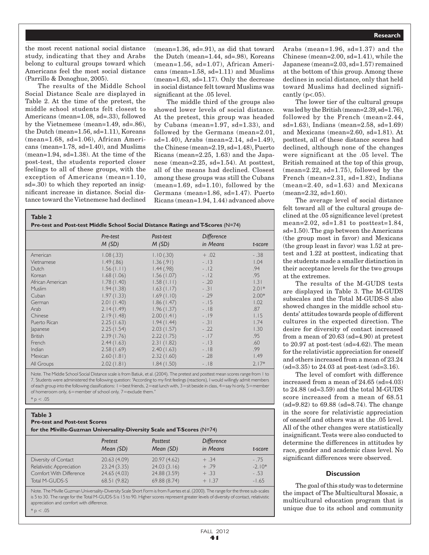the most recent national social distance study, indicating that they and Arabs belong to cultural groups toward which Americans feel the most social distance (Parrillo & Donoghue, 2005).

The results of the Middle School Social Distance Scale are displayed in Table 2. At the time of the pretest, the middle school students felt closest to Americans (mean=1.08, sd=.33), followed by the Vietnemese (mean=1.49, sd=.86), the Dutch (mean=1.56, sd=1.11), Koreans (mean=1.68, sd=1.06), African Americans (mean=1.78, sd=1.40), and Muslims (mean=1.94, sd=1.38). At the time of the post-test, the students reported closer feelings to all of these groups, with the exception of Americans (mean=1.10, sd=.30) to which they reported an insignificant increase in distance. Social distance toward the Vietnemese had declined

(mean=1.36, sd=.91), as did that toward the Dutch (mean=1.44, sd=.98), Koreans (mean=1.56, sd=1.07), African Americans (mean=1.58, sd=1.11) and Muslims (mean=1.63, sd=1.17). Only the decrease in social distance felt toward Muslims was significant at the .05 level.

The middle third of the groups also showed lower levels of social distance. At the pretest, this group was headed by Cubans (mean=1.97, sd=1.33), and followed by the Germans (mean=2.01, sd=1.40), Arabs (mean=2.14, sd=1.49), the Chinese (mean=2.19, sd=1.48), Puerto Ricans (mean=2.25, 1.63) and the Japanese (mean=2.25, sd=1.54). At posttest, all of the means had declined. Closest among these groups was still the Cubans (mean=1.69, sd=1.10), followed by the Germans (mean=1.86, sd=1.47). Puerto Ricans (mean=1.94, 1.44) advanced above

| Table 2<br>Pre-test and Post-test Middle School Social Distance Ratings and T-Scores (N=74) |                   |                    |                               |         |  |  |  |  |
|---------------------------------------------------------------------------------------------|-------------------|--------------------|-------------------------------|---------|--|--|--|--|
|                                                                                             | Pre-test<br>M(SD) | Post-test<br>M(SD) | <b>Difference</b><br>in Means | t-score |  |  |  |  |
| American                                                                                    | 1.08(.33)         | 1.10(.30)          | $+.02$                        | $-.38$  |  |  |  |  |
| Vietnamese                                                                                  | 1.49(.86)         | 1.36(.91)          | $-13$                         | 1.04    |  |  |  |  |
| Dutch                                                                                       | 1.56(1.11)        | 1.44(.98)          | $-12$                         | .94     |  |  |  |  |
| Korean                                                                                      | 1.68(1.06)        | 1.56(1.07)         | $-12$                         | .95     |  |  |  |  |
| African American                                                                            | 1.78(1.40)        | 1.58(1.11)         | $-.20$                        | 1.31    |  |  |  |  |
| Muslim                                                                                      | 1.94(1.38)        | 1.63(1.17)         | $-.31$                        | $2.01*$ |  |  |  |  |
| Cuban                                                                                       | 1.97(1.33)        | 1.69(1.10)         | $-.29$                        | $2.00*$ |  |  |  |  |
| German                                                                                      | 2.01(1.40)        | 1.86(1.47)         | $-.15$                        | 1.02    |  |  |  |  |
| Arab                                                                                        | 2.14(1.49)        | 1.96(1.37)         | $-18$                         | .87     |  |  |  |  |
| Chinese                                                                                     | 2.19(1.48)        | 2.00(1.41)         | $-19$                         | 1.15    |  |  |  |  |
| Puerto Rican                                                                                | 2.25(1.63)        | 1.94(1.44)         | $-.31$                        | 1.74    |  |  |  |  |
| <i>apanese</i>                                                                              | 2.25(1.54)        | 2.03(1.57)         | $-.22$                        | 1.30    |  |  |  |  |
| <b>British</b>                                                                              | 2.39(1.76)        | 2.22(1.75)         | $-17$                         | .95     |  |  |  |  |
| French                                                                                      | 2.44(1.63)        | 2.31(1.82)         | $-13$                         | .60     |  |  |  |  |
| Indian                                                                                      | 2.58(1.69)        | 2.40(1.63)         | $-18$                         | .99     |  |  |  |  |
| Mexican                                                                                     | 2.60(1.81)        | 2.32(1.60)         | $-.28$                        | 1.49    |  |  |  |  |
| All Groups                                                                                  | 2.02(1.81)        | 1.84(1.50)         | $-18$                         | $2.17*$ |  |  |  |  |

Note. The Middle School Social Distance scale is from Batiuk, et al. (2004). The pretest and posttest mean scores range from 1 to 7. Students were administered the following question: "According to my first feelings (reactions), I would willingly admit members of each group into the following classifications:  $1 =$  best friends,  $2 =$  eat lunch with,  $3 =$  sit beside in class,  $4 =$  say hi only,  $5 =$  member of homeroom only, 6=member of school only, 7=exclude them."

#### $* p < .05$

 $p < .05$ 

| Table 3                                                        |
|----------------------------------------------------------------|
| <b>Pre-test and Post-test Scores</b>                           |
| for the Miville-Guzman Universality-Diversity Scale and T-Scor |
|                                                                |

|                           | Pretest<br>Mean (SD) | Posttest<br>Mean (SD) | <b>Difference</b><br>in Means | t-score  |
|---------------------------|----------------------|-----------------------|-------------------------------|----------|
| Diversity of Contact      | 20.63(4.09)          | 20.97(4.62)           | $+ .34$                       | $-.75$   |
| Relativistic Appreciation | 23.24(3.35)          | 24.03(3.16)           | $+ .79$                       | $-2.10*$ |
| Comfort With Difference   | 24.65 (4.03)         | 24.88 (3.59)          | $+ .33$                       | $-.53$   |
| Total M-GUDS-S            | 68.51(9.82)          | 69.88 (8.74)          | $+1.37$                       | $-1.65$  |

Note. The Miville Guzman Universality-Diversity Scale Short Form is from Fuertes et al. (2000). The range for the three sub-scales is 5 to 30. The range for the Total M-GUDS-S is 15 to 90. Higher scores represent greater levels of diversity of contact, relativistic appreciation and comfort with difference.

Arabs (mean=1.96, sd=1.37) and the Chinese (mean=2.00, sd=1.41), while the Japanese (mean=2.03, sd=1.57) remained at the bottom of this group. Among these declines in social distance, only that held toward Muslims had declined significantly  $(p<.05)$ .

The lower tier of the cultural groups was led by the British (mean=2.39, sd=1.76), followed by the French (mean=2.44, sd=1.63), Indians (mean=2.58, sd=1.69) and Mexicans (mean=2.60, sd=1.81). At posttest, all of these distance scores had declined, although none of the changes were significant at the .05 level. The British remained at the top of this group, (mean=2.22, sd=1.75), followed by the French (mean=2.31, sd=1.82), Indians (mean=2.40, sd=1.63) and Mexicans (mean=2.32, sd=1.60).

The average level of social distance felt toward all of the cultural groups declined at the .05 significance level (pretest mean=2.02, sd=1.81 to posttest=1.84, sd=1.50). The gap between the Americans (the group most in favor) and Mexicans (the group least in favor) was 1.52 at pretest and 1.22 at posttest, indicating that the students made a smaller distinction in their acceptance levels for the two groups at the extremes.

The results of the M-GUDS tests are displayed in Table 3. The M-GUDS subscales and the Total M-GUDS-S also showed changes in the middle school students' attitudes towards people of different cultures in the expected direction. The desire for diversity of contact increased from a mean of 20.63 (sd=4.90) at pretest to 20.97 at post-test (sd=4.62). The mean for the relativistic appreciation for oneself and others increased from a mean of 23.24 (sd=3.35) to 24.03 at post-test (sd=3.16).

The level of comfort with difference increased from a mean of 24.65 (sd=4.03) to 24.88 (sd=3.59) and the total M-GUDS score increased from a mean of 68.51 (sd=9.82) to 69.88 (sd=8.74). The change in the score for relativistic appreciation of oneself and others was at the .05 level. All of the other changes were statistically insignificant. Tests were also conducted to determine the differences in attitudes by race, gender and academic class level. No significant differences were observed.

### **Discussion**

The goal of this study was to determine the impact of The Multicultural Mosaic, a multicultural education program that is unique due to its school and community

**es** (N=74)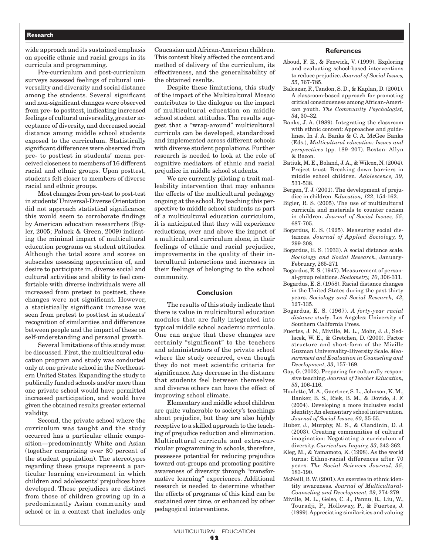## **Research**

wide approach and its sustained emphasis on specific ethnic and racial groups in its curricula and programming.

Pre-curriculum and post-curriculum surveys assessed feelings of cultural universality and diversity and social distance among the students. Several significant and non-significant changes were observed from pre- to posttest, indicating increased feelings of cultural universality, greater acceptance of diversity, and decreased social distance among middle school students exposed to the curriculum. Statistically significant differences were observed from pre- to posttest in students' mean perceived closeness to members of 16 different racial and ethnic groups. Upon posttest, students felt closer to members of diverse racial and ethnic groups.

Most changes from pre-test to post-test in students' Universal-Diverse Orientation did not approach statistical significance; this would seem to corroborate findings by American education researchers (Bigler, 2005; Paluck & Green, 2009) indicating the minimal impact of multicultural education programs on student attitudes. Although the total score and scores on subscales assessing appreciation of, and desire to participate in, diverse social and cultural activities and ability to feel comfortable with diverse individuals were all increased from pretest to posttest, these changes were not significant. However, a statistically significant increase was seen from pretest to posttest in students' recognition of similarities and differences between people and the impact of these on self-understanding and personal growth.

Several limitations of this study must be discussed. First, the multicultural education program and study was conducted only at one private school in the Northeastern United States. Expanding the study to publically funded schools and/or more than one private school would have permitted increased participation, and would have given the obtained results greater external validity.

Second, the private school where the curriculum was taught and the study occurred has a particular ethnic composition—predominantly White and Asian (together comprising over 80 percent of the student population). The stereotypes regarding these groups represent a particular learning environment in which children and adolescents' prejudices have developed. These prejudices are distinct from those of children growing up in a predominantly Asian community and school or in a context that includes only

Caucasian and African-American children. This context likely affected the content and method of delivery of the curriculum, its effectiveness, and the generalizability of the obtained results.

Despite these limitations, this study of the impact of the Multicultural Mosaic contributes to the dialogue on the impact of multicultural education on middle school student attitudes. The results suggest that a "wrap-around" multicultural curricula can be developed, standardized and implemented across different schools with diverse student populations. Further research is needed to look at the role of cognitive mediators of ethnic and racial prejudice in middle school students.

We are currently piloting a trait malleability intervention that may enhance the effects of the multicultural pedagogy ongoing at the school. By teaching this perspective to middle school students as part of a multicultural education curriculum, it is anticipated that they will experience reductions, over and above the impact of a multicultural curriculum alone, in their feelings of ethnic and racial prejudice, improvements in the quality of their intercultural interactions and increases in their feelings of belonging to the school community.

#### **Conclusion**

The results of this study indicate that there is value in multicultural education modules that are fully integrated into typical middle school academic curricula. One can argue that these changes are certainly "significant" to the teachers and administrators of the private school where the study occurred, even though they do not meet scientific criteria for significance. Any decrease in the distance that students feel between themselves and diverse others can have the effect of improving school climate.

Elementary and middle school children are quite vulnerable to society's teachings about prejudice, but they are also highly receptive to a skilled approach to the teaching of prejudice reduction and elimination. Multicultural curricula and extra-curricular programming in schools, therefore, possesses potential for reducing prejudice toward out-groups and promoting positive awareness of diversity through "transformative learning" experiences. Additional research is needed to determine whether the effects of programs of this kind can be sustained over time, or enhanced by other pedagogical interventions.

#### **References**

- Aboud, F. E., & Fenwick, V. (1999). Exploring and evaluating school-based interventions to reduce prejudice. *Journal of Social Issues, 55*, 767-785.
- Balcazar, F., Tandon, S. D., & Kaplan, D. (2001). A classroom-based approach for promoting critical consciousness among African-American youth. *The Community Psychologist, 34*, 30–32.
- Banks, J. A. (1989). Integrating the classroom with ethnic content: Approaches and guidelines. In J. A. Banks & C. A. McGee Banks (Eds.), *Multicultural education: Issues and perspectives* (pp. 189–207). Boston: Allyn & Bacon.
- Batiuk, M. E., Boland, J. A., & Wilcox, N. (2004). Project trust: Breaking down barriers in middle school children. *Adolescence, 39*, 531-538.
- Bergen, T. J. (2001). The development of prejudice in children. *Education, 122*, 154-162.
- Bigler, R. S. (2005). The use of multicultural curricula and materials to counter racism in children. *Journal of Social Issues, 55*, 687-705.
- Bogardus, E. S. (1925). Measuring social distances. *Journal of Applied Sociology, 9*, 299-308.
- Bogardus, E. S. (1933). A social distance scale. *Sociology and Social Research*, January-February, 265-271
- Bogardus, E. S. (1947). Measurement of personal-group relations. *Sociometry, 10*, 306-311.
- Bogardus, E. S. (1958). Racial distance changes in the United States during the past thirty years. *Sociology and Social Research, 43*, 127-135.
- Bogardus, E. S. (1967). *A forty-year racial distance study*. Los Angeles: University of Southern California Press.
- Fuertes, J. N., Miville, M. L., Mohr, J. J., Sedlacek, W. E., & Gretchen, D. (2000). Factor structure and short-form of the Miville Guzman Universality-Diversity Scale. *Measurement and Evaluation in Counseling and Development, 33*, 157-169.
- Gay, G. (2002). Preparing for culturally responsive teaching. *Journal of Teacher Education, 53*, 106-116.
- Houlette, M. A., Gaertner, S. L., Johnson, K. M., Banker, B. S., Riek, B. M., & Dovido, J. F. (2004). Developing a more inclusive social identity: An elementary school intervention. *Journal of Social Issues, 60*, 35-55.
- Huber, J., Murphy, M. S., & Clandinin, D. J. (2003). Creating communities of cultural imagination: Negotiating a curriculum of diversity. *Curriculum Inquiry, 33*, 343-362.
- Kleg, M., & Yamamoto, K. (1998). As the world turns: Ethno-racial differences after 70 years. *The Social Sciences Journal, 35*, 183-190.
- McNeill, B. W. (2001). An exercise in ethnic identity awareness. *Journal of Multicultural-Counseling and Development, 29*, 274-279.
- Miville, M. L., Gelso, C. J., Pannu, R., Liu, W., Touradji, P., Holloway, P., & Fuertes, J. (1999). Appreciating similarities and valuing